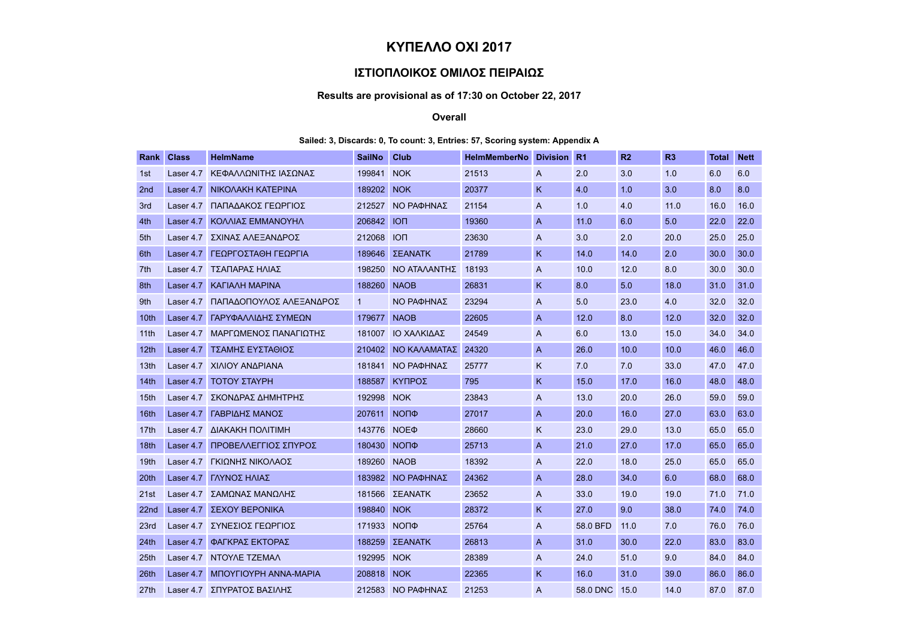# ΚΥΠΕΛΛΟ ΟΧΙ 2017

## ΙΣΤΙΟΠΛΟΙΚΟΣ ΟΜΙΛΟΣ ΠΕΙΡΑΙΩΣ

## Results are provisional as of 17:30 on October 22, 2017

#### Overall

### Sailed: 3, Discards: 0, To count: 3, Entries: 57, Scoring system: Appendix A

| Rank             | <b>Class</b> | <b>HelmName</b>               | <b>SailNo</b> | <b>Club</b>       | <b>HelmMemberNo</b> | <b>Division</b> | R <sub>1</sub> | R <sub>2</sub> | R3   | <b>Total</b> | <b>Nett</b> |
|------------------|--------------|-------------------------------|---------------|-------------------|---------------------|-----------------|----------------|----------------|------|--------------|-------------|
| 1st              | Laser 4.7    | ΚΕΦΑΛΛΩΝΙΤΗΣ ΙΑΣΩΝΑΣ          | 199841        | <b>NOK</b>        | 21513               | A               | 2.0            | 3.0            | 1.0  | 6.0          | 6.0         |
| 2 <sub>nd</sub>  | Laser 4.7    | NIKOAAKH KATEPINA             | 189202        | <b>NOK</b>        | 20377               | K               | 4.0            | 1.0            | 3.0  | 8.0          | 8.0         |
| 3rd              | Laser 4.7    | ΠΑΠΑΔΑΚΟΣ ΓΕΩΡΓΙΟΣ            | 212527        | ΝΟ ΡΑΦΗΝΑΣ        | 21154               | A               | 1.0            | 4.0            | 11.0 | 16.0         | 16.0        |
| 4th              | Laser 4.7    | ΚΟΛΛΙΑΣ ΕΜΜΑΝΟΥΗΛ             | 206842        | <b>ION</b>        | 19360               | $\overline{A}$  | 11.0           | 6.0            | 5.0  | 22.0         | 22.0        |
| 5th              | Laser 4.7    | ΣΧΙΝΑΣ ΑΛΕΞΑΝΔΡΟΣ             | 212068        | <b>ION</b>        | 23630               | A               | 3.0            | 2.0            | 20.0 | 25.0         | 25.0        |
| 6th              | Laser 4.7    | ΓΕΩΡΓΟΣΤΑΘΗ ΓΕΩΡΓΙΑ           | 189646        | ΣΕΑΝΑΤΚ           | 21789               | K               | 14.0           | 14.0           | 2.0  | 30.0         | 30.0        |
| 7th              | Laser 4.7    | ΤΣΑΠΑΡΑΣ ΗΛΙΑΣ                | 198250        | ΝΟ ΑΤΑΛΑΝΤΗΣ      | 18193               | A               | 10.0           | 12.0           | 8.0  | 30.0         | 30.0        |
| 8th              | Laser 4.7    | <b>KAFIAAH MAPINA</b>         | 188260        | <b>NAOB</b>       | 26831               | K               | 8.0            | 5.0            | 18.0 | 31.0         | 31.0        |
| 9th              | Laser 4.7    | ΠΑΠΑΔΟΠΟΥΛΟΣ ΑΛΕΞΑΝΔΡΟΣ       | $\mathbf{1}$  | ΝΟ ΡΑΦΗΝΑΣ        | 23294               | A               | 5.0            | 23.0           | 4.0  | 32.0         | 32.0        |
| 10th             | Laser 4.7    | ΓΑΡΥΦΑΛΛΙΔΗΣ ΣΥΜΕΩΝ           | 179677        | <b>NAOB</b>       | 22605               | $\overline{A}$  | 12.0           | 8.0            | 12.0 | 32.0         | 32.0        |
| 11 <sup>th</sup> | Laser 4.7    | ΜΑΡΓΩΜΕΝΟΣ ΠΑΝΑΓΙΩΤΗΣ         | 181007        | ΙΟ ΧΑΛΚΙΔΑΣ       | 24549               | A               | 6.0            | 13.0           | 15.0 | 34.0         | 34.0        |
| 12 <sub>th</sub> | Laser 4.7    | ΤΣΑΜΗΣ ΕΥΣΤΑΘΙΟΣ              | 210402        | ΝΟ ΚΑΛΑΜΑΤΑΣ      | 24320               | $\overline{A}$  | 26.0           | 10.0           | 10.0 | 46.0         | 46.0        |
| 13 <sub>th</sub> | Laser 4.7    | ΧΙΛΙΟΥ ΑΝΔΡΙΑΝΑ               | 181841        | ΝΟ ΡΑΦΗΝΑΣ        | 25777               | Κ               | 7.0            | 7.0            | 33.0 | 47.0         | 47.0        |
| 14 <sub>th</sub> | Laser 4.7    | ΤΟΤΟΥ ΣΤΑΥΡΗ                  | 188587        | ΚΥΠΡΟΣ            | 795                 | K               | 15.0           | 17.0           | 16.0 | 48.0         | 48.0        |
| 15 <sub>th</sub> | Laser 4.7    | ΣΚΟΝΔΡΑΣ ΔΗΜΗΤΡΗΣ             | 192998        | <b>NOK</b>        | 23843               | A               | 13.0           | 20.0           | 26.0 | 59.0         | 59.0        |
| 16th             | Laser 4.7    | ΓΑΒΡΙΔΗΣ ΜΑΝΟΣ                | 207611        | $N$ O $\P$ $\Phi$ | 27017               | $\overline{A}$  | 20.0           | 16.0           | 27.0 | 63.0         | 63.0        |
| 17 <sub>th</sub> | Laser 4.7    | ΔΙΑΚΑΚΗ ΠΟΛΙΤΙΜΗ              | 143776        | NOE <sub>Φ</sub>  | 28660               | Κ               | 23.0           | 29.0           | 13.0 | 65.0         | 65.0        |
| 18th             | Laser 4.7    | ΠΡΟΒΕΛΛΕΓΓΙΟΣ ΣΠΥΡΟΣ          | 180430        | $N$ O $\P$ $\Phi$ | 25713               | $\overline{A}$  | 21.0           | 27.0           | 17.0 | 65.0         | 65.0        |
| 19th             | Laser 4.7    | ΓΚΙΩΝΗΣ ΝΙΚΟΛΑΟΣ              | 189260        | <b>NAOB</b>       | 18392               | A               | 22.0           | 18.0           | 25.0 | 65.0         | 65.0        |
| 20th             | Laser 4.7    | ΓΛΥΝΟΣ ΗΛΙΑΣ                  | 183982        | ΝΟ ΡΑΦΗΝΑΣ        | 24362               | $\overline{A}$  | 28.0           | 34.0           | 6.0  | 68.0         | 68.0        |
| 21st             | Laser 4.7    | ΣΑΜΩΝΑΣ ΜΑΝΩΛΗΣ               | 181566        | ΣΕΑΝΑΤΚ           | 23652               | A               | 33.0           | 19.0           | 19.0 | 71.0         | 71.0        |
| 22 <sub>nd</sub> | Laser 4.7    | ΣΕΧΟΥ ΒΕΡΟΝΙΚΑ                | 198840        | <b>NOK</b>        | 28372               | $\sf K$         | 27.0           | 9.0            | 38.0 | 74.0         | 74.0        |
| 23rd             | Laser 4.7    | ΣΥΝΕΣΙΟΣ ΓΕΩΡΓΙΟΣ             | 171933        | <b>NOПФ</b>       | 25764               | A               | 58.0 BFD       | 11.0           | 7.0  | 76.0         | 76.0        |
| 24th             | Laser 4.7    | ΦΑΓΚΡΑΣ ΕΚΤΟΡΑΣ               | 188259        | ΣΕΑΝΑΤΚ           | 26813               | $\overline{A}$  | 31.0           | 30.0           | 22.0 | 83.0         | 83.0        |
| 25th             | Laser 4.7    | NTOYAE TZEMAA                 | 192995        | <b>NOK</b>        | 28389               | A               | 24.0           | 51.0           | 9.0  | 84.0         | 84.0        |
| 26th             | Laser 4.7    | <b>MITOYFIOYPH ANNA-MAPIA</b> | 208818        | <b>NOK</b>        | 22365               | K               | 16.0           | 31.0           | 39.0 | 86.0         | 86.0        |
| 27 <sub>th</sub> |              | Laser 4.7 ΣΠΥΡΑΤΟΣ ΒΑΣΙΛΗΣ    |               | 212583 NO ΡΑΦΗΝΑΣ | 21253               | A               | 58.0 DNC       | 15.0           | 14.0 | 87.0         | 87.0        |